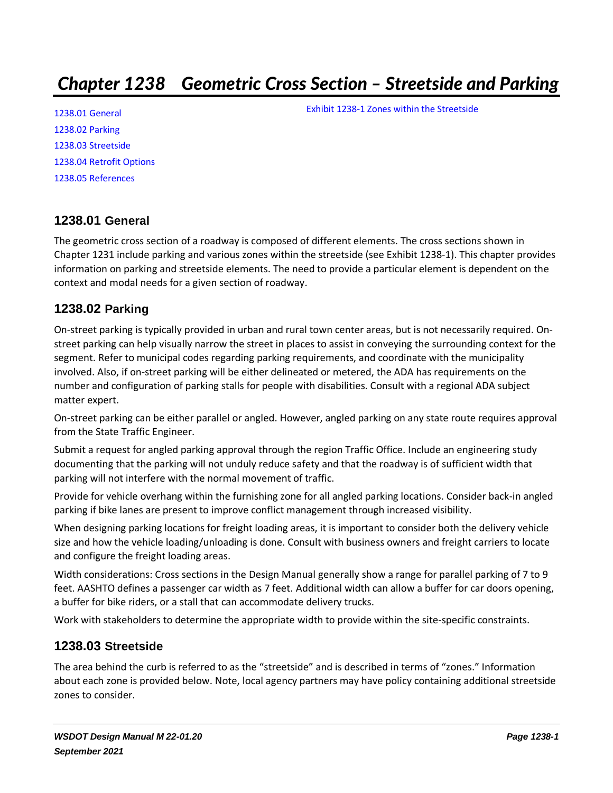# *Chapter 1238 Geometric Cross Section – Streetside and Parking*

[1238.01 General](#page-0-0) [1238.02 Parking](#page-0-1) [1238.03 Streetside](#page-0-2) [1238.04 Retrofit Options](#page-3-0) [1238.05 References](#page-6-0)

### <span id="page-0-0"></span>**1238.01 General**

The geometric cross section of a roadway is composed of different elements. The cross sections shown in Chapter 1231 include parking and various zones within the streetside (see [Exhibit 1238-1\)](#page-1-0). This chapter provides information on parking and streetside elements. The need to provide a particular element is dependent on the context and modal needs for a given section of roadway.

### <span id="page-0-1"></span>**1238.02 Parking**

On-street parking is typically provided in urban and rural town center areas, but is not necessarily required. Onstreet parking can help visually narrow the street in places to assist in conveying the surrounding context for the segment. Refer to municipal codes regarding parking requirements, and coordinate with the municipality involved. Also, if on-street parking will be either delineated or metered, the ADA has requirements on the number and configuration of parking stalls for people with disabilities. Consult with a regional ADA subject matter expert.

On-street parking can be either parallel or angled. However, angled parking on any state route requires approval from the State Traffic Engineer.

Submit a request for angled parking approval through the region Traffic Office. Include an engineering study documenting that the parking will not unduly reduce safety and that the roadway is of sufficient width that parking will not interfere with the normal movement of traffic.

Provide for vehicle overhang within the furnishing zone for all angled parking locations. Consider back-in angled parking if bike lanes are present to improve conflict management through increased visibility.

When designing parking locations for freight loading areas, it is important to consider both the delivery vehicle size and how the vehicle loading/unloading is done. Consult with business owners and freight carriers to locate and configure the freight loading areas.

Width considerations: Cross sections in the Design Manual generally show a range for parallel parking of 7 to 9 feet. AASHTO defines a passenger car width as 7 feet. Additional width can allow a buffer for car doors opening, a buffer for bike riders, or a stall that can accommodate delivery trucks.

Work with stakeholders to determine the appropriate width to provide within the site-specific constraints.

### <span id="page-0-2"></span>**1238.03 Streetside**

The area behind the curb is referred to as the "streetside" and is described in terms of "zones." Information about each zone is provided below. Note, local agency partners may have policy containing additional streetside zones to consider.

[Exhibit 1238-1 Zones within the Streetside](#page-1-0)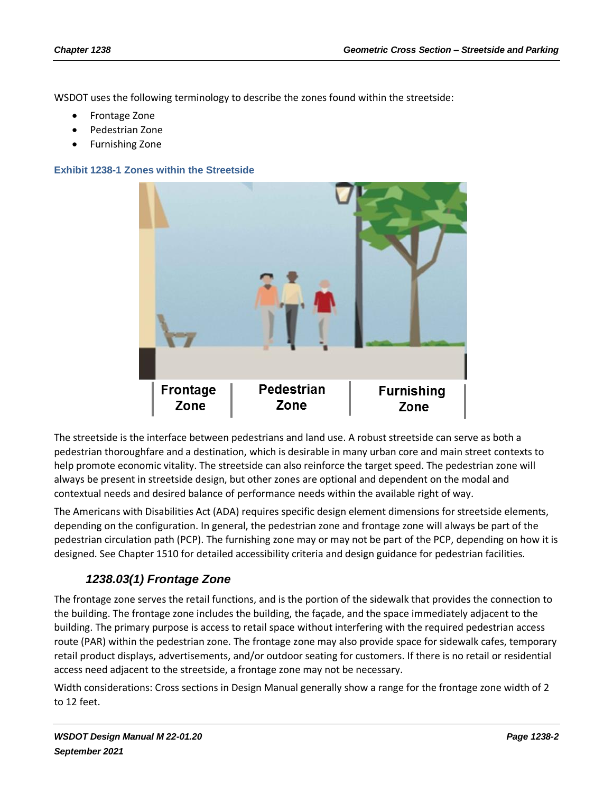WSDOT uses the following terminology to describe the zones found within the streetside:

- Frontage Zone
- Pedestrian Zone
- Furnishing Zone

#### <span id="page-1-0"></span>**Exhibit 1238-1 Zones within the Streetside**



The streetside is the interface between pedestrians and land use. A robust streetside can serve as both a pedestrian thoroughfare and a destination, which is desirable in many urban core and main street contexts to help promote economic vitality. The streetside can also reinforce the target speed. The pedestrian zone will always be present in streetside design, but other zones are optional and dependent on the modal and contextual needs and desired balance of performance needs within the available right of way.

The Americans with Disabilities Act (ADA) requires specific design element dimensions for streetside elements, depending on the configuration. In general, the pedestrian zone and frontage zone will always be part of the pedestrian circulation path (PCP). The furnishing zone may or may not be part of the PCP, depending on how it is designed. See Chapter 1510 for detailed accessibility criteria and design guidance for pedestrian facilities.

### *1238.03(1) Frontage Zone*

The frontage zone serves the retail functions, and is the portion of the sidewalk that provides the connection to the building. The frontage zone includes the building, the façade, and the space immediately adjacent to the building. The primary purpose is access to retail space without interfering with the required pedestrian access route (PAR) within the pedestrian zone. The frontage zone may also provide space for sidewalk cafes, temporary retail product displays, advertisements, and/or outdoor seating for customers. If there is no retail or residential access need adjacent to the streetside, a frontage zone may not be necessary.

Width considerations: Cross sections in Design Manual generally show a range for the frontage zone width of 2 to 12 feet.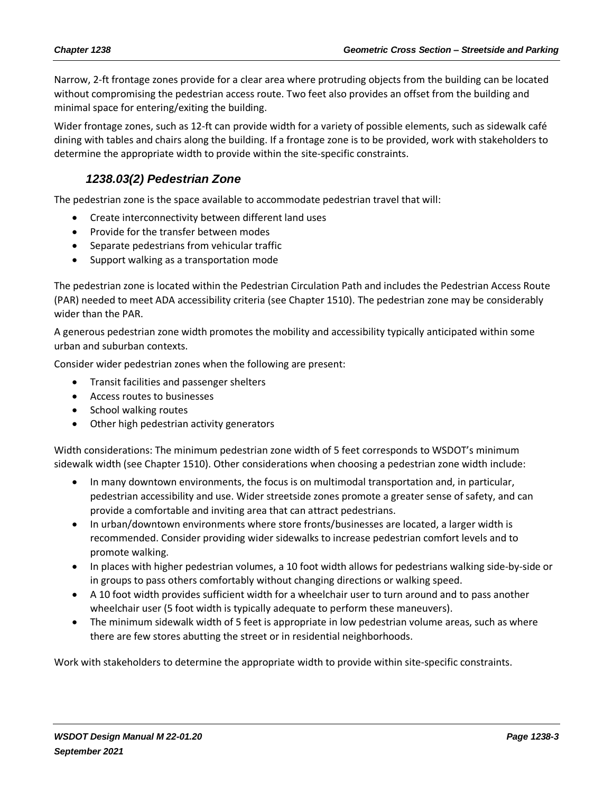Narrow, 2-ft frontage zones provide for a clear area where protruding objects from the building can be located without compromising the pedestrian access route. Two feet also provides an offset from the building and minimal space for entering/exiting the building.

Wider frontage zones, such as 12-ft can provide width for a variety of possible elements, such as sidewalk café dining with tables and chairs along the building. If a frontage zone is to be provided, work with stakeholders to determine the appropriate width to provide within the site-specific constraints.

### *1238.03(2) Pedestrian Zone*

The pedestrian zone is the space available to accommodate pedestrian travel that will:

- Create interconnectivity between different land uses
- Provide for the transfer between modes
- Separate pedestrians from vehicular traffic
- Support walking as a transportation mode

The pedestrian zone is located within the Pedestrian Circulation Path and includes the Pedestrian Access Route (PAR) needed to meet ADA accessibility criteria (see Chapter 1510). The pedestrian zone may be considerably wider than the PAR.

A generous pedestrian zone width promotes the mobility and accessibility typically anticipated within some urban and suburban contexts.

Consider wider pedestrian zones when the following are present:

- Transit facilities and passenger shelters
- Access routes to businesses
- School walking routes
- Other high pedestrian activity generators

Width considerations: The minimum pedestrian zone width of 5 feet corresponds to WSDOT's minimum sidewalk width (see Chapter 1510). Other considerations when choosing a pedestrian zone width include:

- In many downtown environments, the focus is on multimodal transportation and, in particular, pedestrian accessibility and use. Wider streetside zones promote a greater sense of safety, and can provide a comfortable and inviting area that can attract pedestrians.
- In urban/downtown environments where store fronts/businesses are located, a larger width is recommended. Consider providing wider sidewalks to increase pedestrian comfort levels and to promote walking.
- In places with higher pedestrian volumes, a 10 foot width allows for pedestrians walking side-by-side or in groups to pass others comfortably without changing directions or walking speed.
- A 10 foot width provides sufficient width for a wheelchair user to turn around and to pass another wheelchair user (5 foot width is typically adequate to perform these maneuvers).
- The minimum sidewalk width of 5 feet is appropriate in low pedestrian volume areas, such as where there are few stores abutting the street or in residential neighborhoods.

Work with stakeholders to determine the appropriate width to provide within site-specific constraints.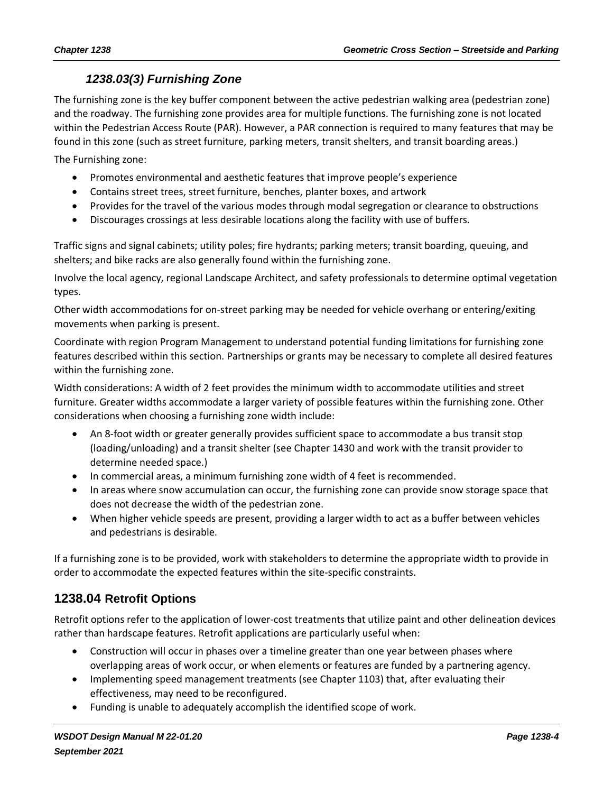### *1238.03(3) Furnishing Zone*

The furnishing zone is the key buffer component between the active pedestrian walking area (pedestrian zone) and the roadway. The furnishing zone provides area for multiple functions. The furnishing zone is not located within the Pedestrian Access Route (PAR). However, a PAR connection is required to many features that may be found in this zone (such as street furniture, parking meters, transit shelters, and transit boarding areas.)

The Furnishing zone:

- Promotes environmental and aesthetic features that improve people's experience
- Contains street trees, street furniture, benches, planter boxes, and artwork
- Provides for the travel of the various modes through modal segregation or clearance to obstructions
- Discourages crossings at less desirable locations along the facility with use of buffers.

Traffic signs and signal cabinets; utility poles; fire hydrants; parking meters; transit boarding, queuing, and shelters; and bike racks are also generally found within the furnishing zone.

Involve the local agency, regional Landscape Architect, and safety professionals to determine optimal vegetation types.

Other width accommodations for on-street parking may be needed for vehicle overhang or entering/exiting movements when parking is present.

Coordinate with region Program Management to understand potential funding limitations for furnishing zone features described within this section. Partnerships or grants may be necessary to complete all desired features within the furnishing zone.

Width considerations: A width of 2 feet provides the minimum width to accommodate utilities and street furniture. Greater widths accommodate a larger variety of possible features within the furnishing zone. Other considerations when choosing a furnishing zone width include:

- An 8-foot width or greater generally provides sufficient space to accommodate a bus transit stop (loading/unloading) and a transit shelter (see Chapter 1430 and work with the transit provider to determine needed space.)
- In commercial areas, a minimum furnishing zone width of 4 feet is recommended.
- In areas where snow accumulation can occur, the furnishing zone can provide snow storage space that does not decrease the width of the pedestrian zone.
- When higher vehicle speeds are present, providing a larger width to act as a buffer between vehicles and pedestrians is desirable.

If a furnishing zone is to be provided, work with stakeholders to determine the appropriate width to provide in order to accommodate the expected features within the site-specific constraints.

# <span id="page-3-0"></span>**1238.04 Retrofit Options**

Retrofit options refer to the application of lower-cost treatments that utilize paint and other delineation devices rather than hardscape features. Retrofit applications are particularly useful when:

- Construction will occur in phases over a timeline greater than one year between phases where overlapping areas of work occur, or when elements or features are funded by a partnering agency.
- Implementing speed management treatments (see Chapter 1103) that, after evaluating their effectiveness, may need to be reconfigured.
- Funding is unable to adequately accomplish the identified scope of work.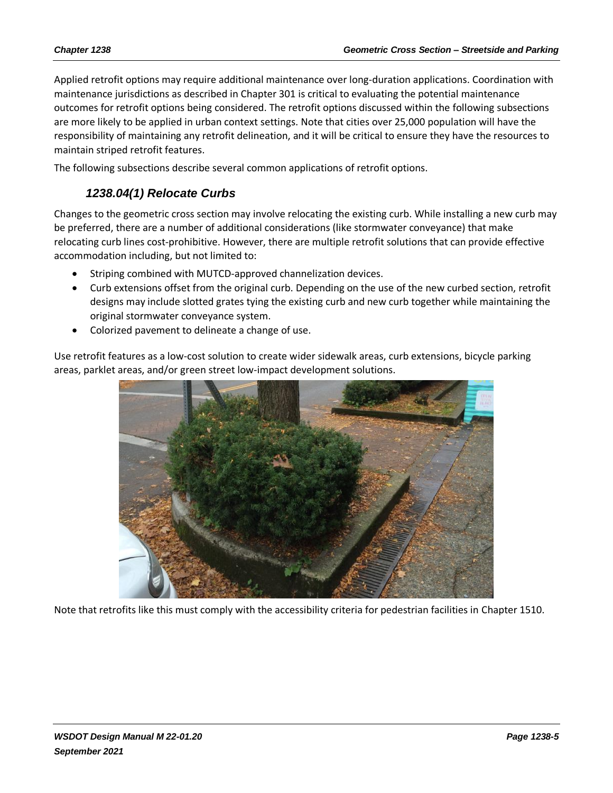Applied retrofit options may require additional maintenance over long-duration applications. Coordination with maintenance jurisdictions as described in Chapter 301 is critical to evaluating the potential maintenance outcomes for retrofit options being considered. The retrofit options discussed within the following subsections are more likely to be applied in urban context settings. Note that cities over 25,000 population will have the responsibility of maintaining any retrofit delineation, and it will be critical to ensure they have the resources to maintain striped retrofit features.

The following subsections describe several common applications of retrofit options.

## *1238.04(1) Relocate Curbs*

Changes to the geometric cross section may involve relocating the existing curb. While installing a new curb may be preferred, there are a number of additional considerations (like stormwater conveyance) that make relocating curb lines cost-prohibitive. However, there are multiple retrofit solutions that can provide effective accommodation including, but not limited to:

- Striping combined with MUTCD-approved channelization devices.
- Curb extensions offset from the original curb. Depending on the use of the new curbed section, retrofit designs may include slotted grates tying the existing curb and new curb together while maintaining the original stormwater conveyance system.
- Colorized pavement to delineate a change of use.

Use retrofit features as a low-cost solution to create wider sidewalk areas, curb extensions, bicycle parking areas, parklet areas, and/or green street low-impact development solutions.



Note that retrofits like this must comply with the accessibility criteria for pedestrian facilities in Chapter 1510.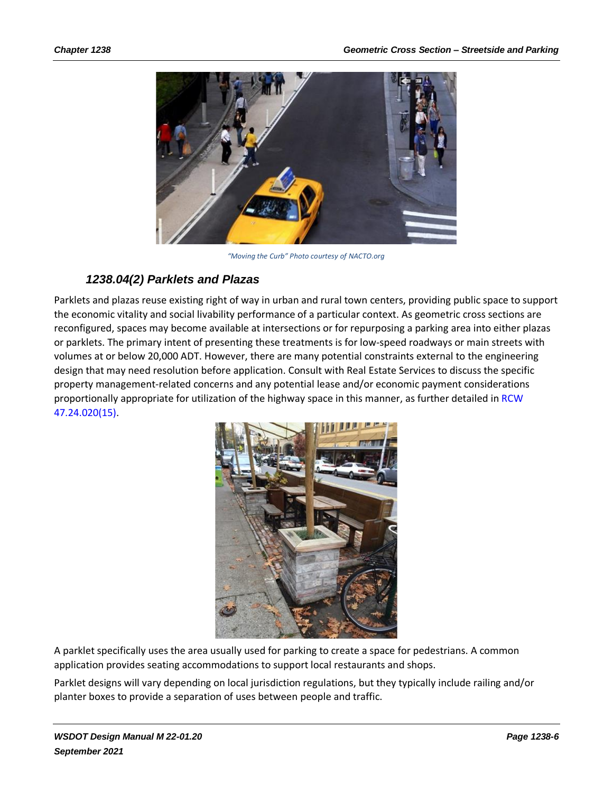

*"Moving the Curb" Photo courtesy of [NACTO.org](http://nacto.org/)*

### *1238.04(2) Parklets and Plazas*

Parklets and plazas reuse existing right of way in urban and rural town centers, providing public space to support the economic vitality and social livability performance of a particular context. As geometric cross sections are reconfigured, spaces may become available at intersections or for repurposing a parking area into either plazas or parklets. The primary intent of presenting these treatments is for low-speed roadways or main streets with volumes at or below 20,000 ADT. However, there are many potential constraints external to the engineering design that may need resolution before application. Consult with Real Estate Services to discuss the specific property management-related concerns and any potential lease and/or economic payment considerations proportionally appropriate for utilization of the highway space in this manner, as further detailed in [RCW](http://app.leg.wa.gov/rcw/default.aspx?cite=47.24.020) [47.24.020\(15\).](http://app.leg.wa.gov/rcw/default.aspx?cite=47.24.020)



A parklet specifically uses the area usually used for parking to create a space for pedestrians. A common application provides seating accommodations to support local restaurants and shops.

Parklet designs will vary depending on local jurisdiction regulations, but they typically include railing and/or planter boxes to provide a separation of uses between people and traffic.